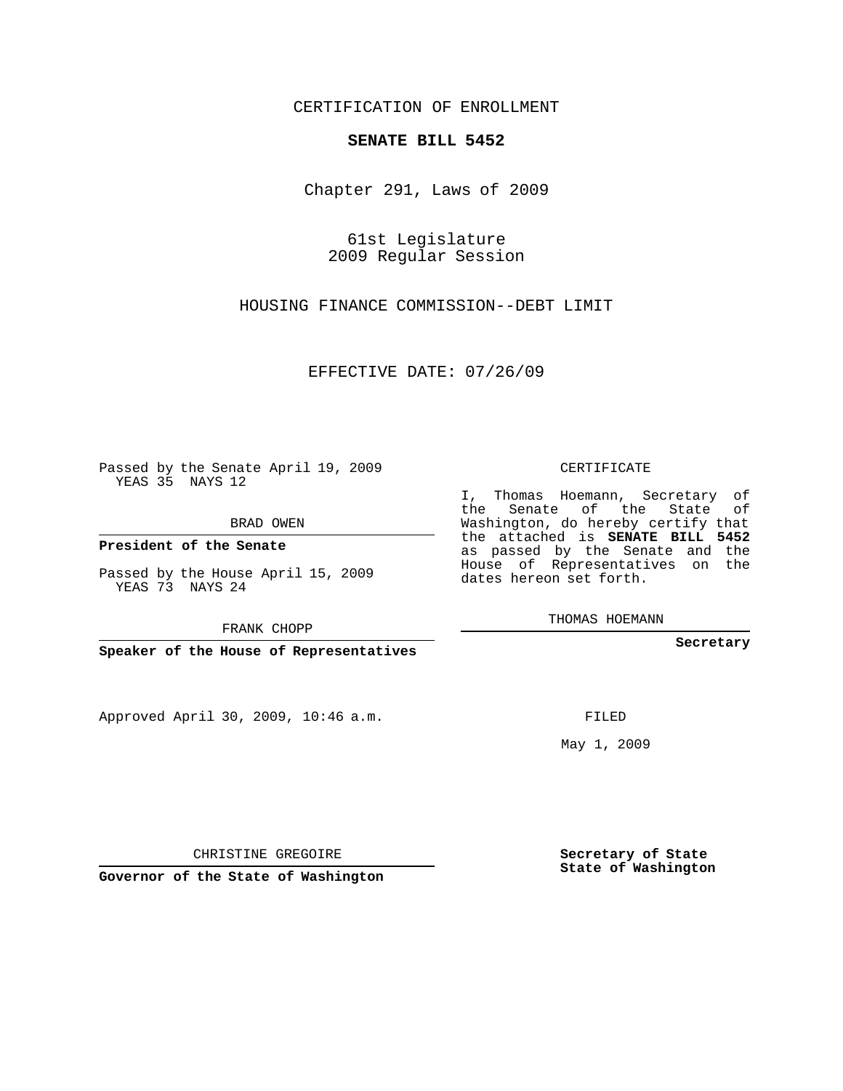### CERTIFICATION OF ENROLLMENT

#### **SENATE BILL 5452**

Chapter 291, Laws of 2009

61st Legislature 2009 Regular Session

HOUSING FINANCE COMMISSION--DEBT LIMIT

EFFECTIVE DATE: 07/26/09

Passed by the Senate April 19, 2009 YEAS 35 NAYS 12

BRAD OWEN

**President of the Senate**

Passed by the House April 15, 2009 YEAS 73 NAYS 24

FRANK CHOPP

**Speaker of the House of Representatives**

Approved April 30, 2009, 10:46 a.m.

CERTIFICATE

I, Thomas Hoemann, Secretary of the Senate of the State of Washington, do hereby certify that the attached is **SENATE BILL 5452** as passed by the Senate and the House of Representatives on the dates hereon set forth.

THOMAS HOEMANN

**Secretary**

FILED

May 1, 2009

**Secretary of State State of Washington**

CHRISTINE GREGOIRE

**Governor of the State of Washington**